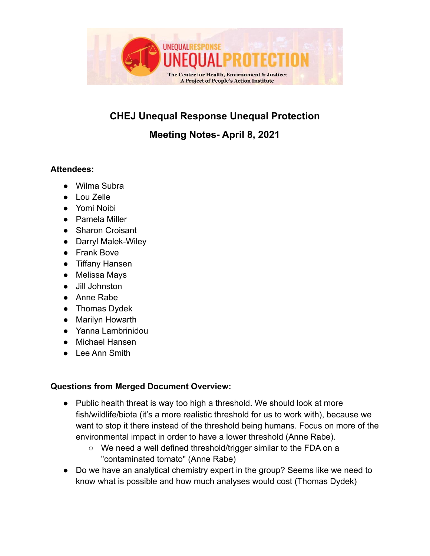

# **CHEJ Unequal Response Unequal Protection**

# **Meeting Notes- April 8, 2021**

#### **Attendees:**

- Wilma Subra
- Lou Zelle
- Yomi Noibi
- Pamela Miller
- Sharon Croisant
- Darryl Malek-Wiley
- Frank Bove
- Tiffany Hansen
- Melissa Mays
- Jill Johnston
- Anne Rabe
- Thomas Dydek
- Marilyn Howarth
- Yanna Lambrinidou
- Michael Hansen
- Lee Ann Smith

#### **Questions from Merged Document Overview:**

- Public health threat is way too high a threshold. We should look at more fish/wildlife/biota (it's a more realistic threshold for us to work with), because we want to stop it there instead of the threshold being humans. Focus on more of the environmental impact in order to have a lower threshold (Anne Rabe).
	- We need a well defined threshold/trigger similar to the FDA on a "contaminated tomato" (Anne Rabe)
- Do we have an analytical chemistry expert in the group? Seems like we need to know what is possible and how much analyses would cost (Thomas Dydek)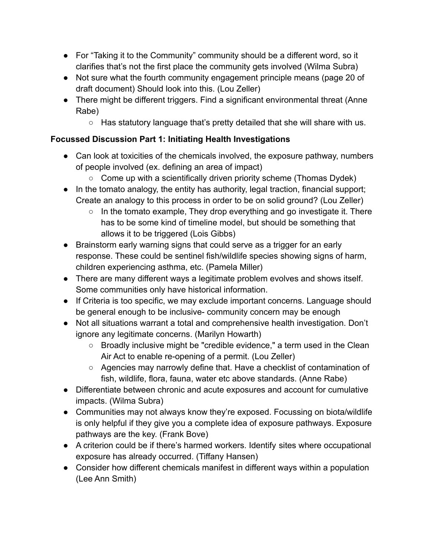- For "Taking it to the Community" community should be a different word, so it clarifies that's not the first place the community gets involved (Wilma Subra)
- Not sure what the fourth community engagement principle means (page 20 of draft document) Should look into this. (Lou Zeller)
- There might be different triggers. Find a significant environmental threat (Anne Rabe)
	- Has statutory language that's pretty detailed that she will share with us.

# **Focussed Discussion Part 1: Initiating Health Investigations**

- Can look at toxicities of the chemicals involved, the exposure pathway, numbers of people involved (ex. defining an area of impact)
	- Come up with a scientifically driven priority scheme (Thomas Dydek)
- In the tomato analogy, the entity has authority, legal traction, financial support; Create an analogy to this process in order to be on solid ground? (Lou Zeller)
	- $\circ$  In the tomato example, They drop everything and go investigate it. There has to be some kind of timeline model, but should be something that allows it to be triggered (Lois Gibbs)
- Brainstorm early warning signs that could serve as a trigger for an early response. These could be sentinel fish/wildlife species showing signs of harm, children experiencing asthma, etc. (Pamela Miller)
- There are many different ways a legitimate problem evolves and shows itself. Some communities only have historical information.
- If Criteria is too specific, we may exclude important concerns. Language should be general enough to be inclusive- community concern may be enough
- Not all situations warrant a total and comprehensive health investigation. Don't ignore any legitimate concerns. (Marilyn Howarth)
	- Broadly inclusive might be "credible evidence," a term used in the Clean Air Act to enable re-opening of a permit. (Lou Zeller)
	- Agencies may narrowly define that. Have a checklist of contamination of fish, wildlife, flora, fauna, water etc above standards. (Anne Rabe)
- Differentiate between chronic and acute exposures and account for cumulative impacts. (Wilma Subra)
- Communities may not always know they're exposed. Focussing on biota/wildlife is only helpful if they give you a complete idea of exposure pathways. Exposure pathways are the key. (Frank Bove)
- A criterion could be if there's harmed workers. Identify sites where occupational exposure has already occurred. (Tiffany Hansen)
- Consider how different chemicals manifest in different ways within a population (Lee Ann Smith)